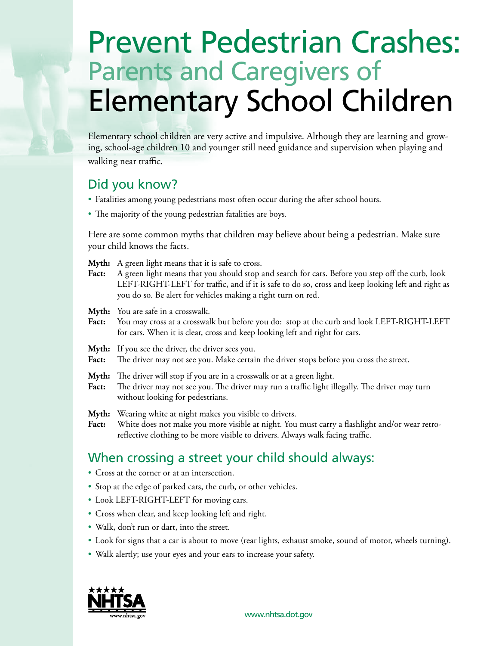# Prevent Pedestrian Crashes: Parents and Caregivers of Elementary School Children

Elementary school children are very active and impulsive. Although they are learning and growing, school-age children 10 and younger still need guidance and supervision when playing and walking near traffic.

## Did you know?

- Fatalities among young pedestrians most often occur during the after school hours.
- The majority of the young pedestrian fatalities are boys.

Here are some common myths that children may believe about being a pedestrian. Make sure your child knows the facts.

**Myth:** A green light means that it is safe to cross.

Fact: A green light means that you should stop and search for cars. Before you step off the curb, look LEFT-RIGHT-LEFT for traffic, and if it is safe to do so, cross and keep looking left and right as you do so. Be alert for vehicles making a right turn on red.

**Myth:** You are safe in a crosswalk.

- Fact: You may cross at a crosswalk but before you do: stop at the curb and look LEFT-RIGHT-LEFT for cars. When it is clear, cross and keep looking left and right for cars.
- Myth: If you see the driver, the driver sees you.
- Fact: The driver may not see you. Make certain the driver stops before you cross the street.
- **Myth:** The driver will stop if you are in a crosswalk or at a green light.
- **Fact:** The driver may not see you. The driver may run a traffic light illegally. The driver may turn without looking for pedestrians.

Myth: Wearing white at night makes you visible to drivers.

**Fact:** White does not make you more visible at night. You must carry a flashlight and/or wear retroreflective clothing to be more visible to drivers. Always walk facing traffic.

## When crossing a street your child should always:

- Cross at the corner or at an intersection.
- Stop at the edge of parked cars, the curb, or other vehicles.
- Look LEFT-RIGHT-LEFT for moving cars.
- Cross when clear, and keep looking left and right.
- Walk, don't run or dart, into the street.
- Look for signs that a car is about to move (rear lights, exhaust smoke, sound of motor, wheels turning).
- Walk alertly; use your eyes and your ears to increase your safety.



www.nhtsa.dot.gov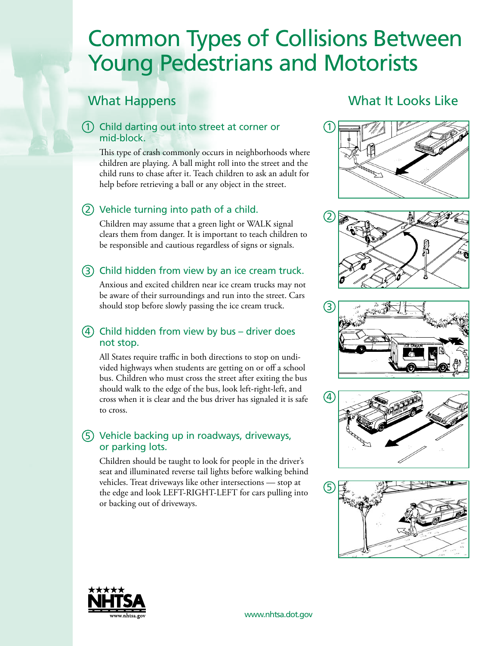## Common Types of Collisions Between Young Pedestrians and Motorists

## What Happens

## 1 Child darting out into street at corner or mid-block.

This type of crash commonly occurs in neighborhoods where children are playing. A ball might roll into the street and the child runs to chase after it. Teach children to ask an adult for help before retrieving a ball or any object in the street.

## (2) Vehicle turning into path of a child.

Children may assume that a green light or WALK signal clears them from danger. It is important to teach children to be responsible and cautious regardless of signs or signals.

## 3 Child hidden from view by an ice cream truck.

Anxious and excited children near ice cream trucks may not be aware of their surroundings and run into the street. Cars should stop before slowly passing the ice cream truck.

### $(4)$  Child hidden from view by bus – driver does not stop.

All States require traffic in both directions to stop on undivided highways when students are getting on or off a school bus. Children who must cross the street after exiting the bus should walk to the edge of the bus, look left-right-left, and cross when it is clear and the bus driver has signaled it is safe to cross.

## 5 Vehicle backing up in roadways, driveways, or parking lots.

Children should be taught to look for people in the driver's seat and illuminated reverse tail lights before walking behind vehicles. Treat driveways like other intersections — stop at the edge and look LEFT-RIGHT-LEFT for cars pulling into or backing out of driveways.

## What It Looks Like